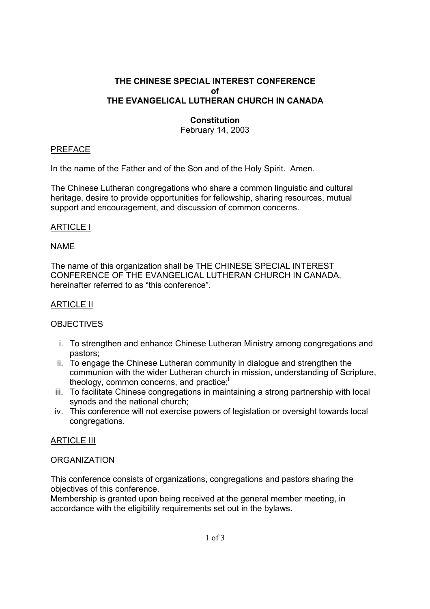## **THE CHINESE SPECIAL INTEREST CONFERENCE of THE EVANGELICAL LUTHERAN CHURCH IN CANADA**

# **Constitution**

February 14, 2003

### PREFACE

In the name of the Father and of the Son and of the Holy Spirit. Amen.

The Chinese Lutheran congregations who share a common linguistic and cultural heritage, desire to provide opportunities for fellowship, sharing resources, mutual support and encouragement, and discussion of common concerns.

## ARTICLE I

#### NAME

The name of this organization shall be THE CHINESE SPECIAL INTEREST CONFERENCE OF THE EVANGELICAL LUTHERAN CHURCH IN CANADA, hereinafter referred to as "this conference".

## ARTICLE II

# **OBJECTIVES**

- i. To strengthen and enhance Chinese Lutheran Ministry among congregations and pastors;
- ii. To engage the Chinese Lutheran community in dialogue and strengthen the communion with the wider Lutheran church in mission, understanding of Scripture, theology, common concerns, and practice;
- iii. To facilitate Chinese congregations in maintaining a strong partnership with local synods and the national church;
- iv. This conference will not exercise powers of legislation or oversight towards local congregations.

#### ARTICLE III

#### **ORGANIZATION**

This conference consists of organizations, congregations and pastors sharing the objectives of this conference.

Membership is granted upon being received at the general member meeting, in accordance with the eligibility requirements set out in the bylaws.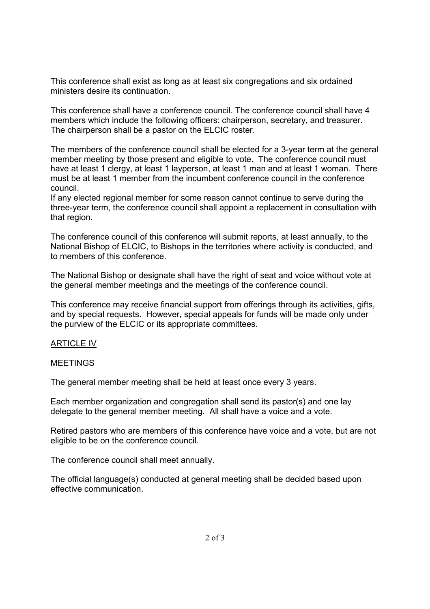This conference shall exist as long as at least six congregations and six ordained ministers desire its continuation.

This conference shall have a conference council. The conference council shall have 4 members which include the following officers: chairperson, secretary, and treasurer. The chairperson shall be a pastor on the ELCIC roster.

The members of the conference council shall be elected for a 3-year term at the general member meeting by those present and eligible to vote. The conference council must have at least 1 clergy, at least 1 layperson, at least 1 man and at least 1 woman. There must be at least 1 member from the incumbent conference council in the conference council.

If any elected regional member for some reason cannot continue to serve during the three-year term, the conference council shall appoint a replacement in consultation with that region.

The conference council of this conference will submit reports, at least annually, to the National Bishop of ELCIC, to Bishops in the territories where activity is conducted, and to members of this conference.

The National Bishop or designate shall have the right of seat and voice without vote at the general member meetings and the meetings of the conference council.

This conference may receive financial support from offerings through its activities, gifts, and by special requests. However, special appeals for funds will be made only under the purview of the ELCIC or its appropriate committees.

#### **ARTICLE IV**

### MEETINGS

The general member meeting shall be held at least once every 3 years.

Each member organization and congregation shall send its pastor(s) and one lay delegate to the general member meeting. All shall have a voice and a vote.

Retired pastors who are members of this conference have voice and a vote, but are not eligible to be on the conference council.

The conference council shall meet annually.

The official language(s) conducted at general meeting shall be decided based upon effective communication.